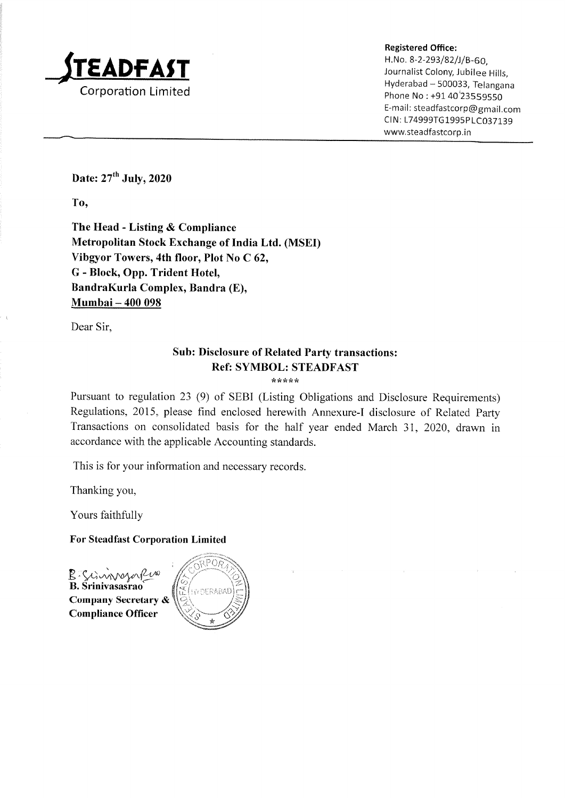

Registered Office:

H.No. 8-2-293/82/)/B-60,  $\text{F}\text{E}\text{ADFAST}$  and the second of  $\text{F}\text{A}\text{DFT}$  is a second of  $\text{F}\text{A}\text{DFT}$ — Hyderabad <sup>~</sup> 500033, Telangana Phone No : +91 40<sup>'</sup>23559550 E-mail: steadfastcorp@ gmail.com CIN: L74999TG1995PLC037139 www.steadfastcorp.in

Date: 27" July, 2020

To,

The Head- Listing & Compliance Metropolitan Stock Exchange of India Ltd. (MSED Vibgyor Towers, 4th floor, Plot No C 62, G - Block, Opp. Trident Hotel, BandraKurla Complex, Bandra(E), Mumbai — 400 098

Dear Sir,

# Sub: Disclosure of Related Party transactions: Ref: SYMBOL: STEADFAST

\*\*\*\*\*

Pursuant to regulation 23 (9) of SEBI (Listing Obligations and Disclosure Requirements) Regulations, 2015, please find enclosed herewith Annexure-I disclosure of Related Party Transactions on consolidated basis for the half year ended March 31, 2020, drawn in accordance with the applicable Accounting standards.

This is for your information and necessary records.

Thanking you,

Yours faithfully

For Steadfast Corporation Limited

B Sciennerafera B. Srinivasasrao Company Secretary & Compliance Officer